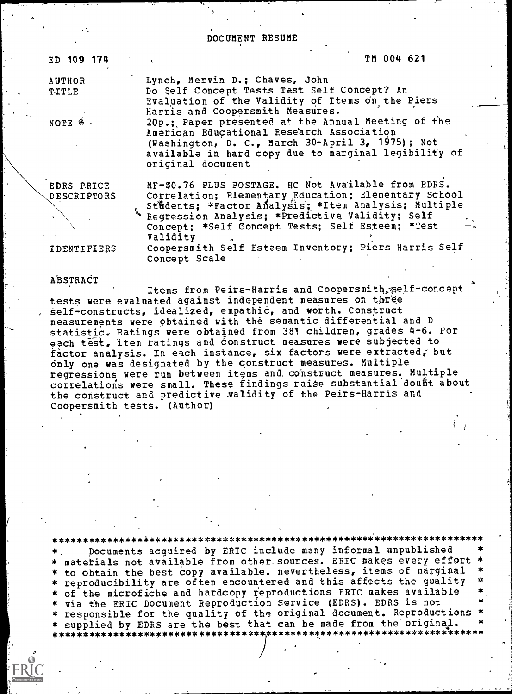### DOCUMENT RESUME

| ED 109 174      | TH 004 621                                                                                                                                                                                                                       |
|-----------------|----------------------------------------------------------------------------------------------------------------------------------------------------------------------------------------------------------------------------------|
| AUTHOR<br>TITLE | Lynch, Mervin D.; Chaves, John<br>Do Self Concept Tests Test Self Concept? An<br>Evaluation of the Validity of Items on the Piers<br>Harris and Coopersmith Measures.                                                            |
| NOTE * ·        | 20p.; Paper presented at the Annual Meeting of the<br>American Educational Research Association<br>(Washington, D. C., March 30-April 3, 1975); Not<br>available in hard copy due to marginal legibility of<br>original document |
|                 | un en 36 pinc poemies, no Net insilable from phos                                                                                                                                                                                |

EDRS PRICE **DESCRIPTORS**  MF-\$0.76 PLUS POSTAGE. HC Not Available from EDRS. Correlation; Elementary Education; Elementary School Students; \*Factor Analysis; \*Item Analysis; Multiple Regression Analysis; \*Predictive Validity; Self Concept; \*Self Concept Tests; Self Esteem; \*Test Validity Coopersmith Self Esteem Inventory; Piers Harris Self

IDENTIFIERS

ABSTRACT

Items from Peirs-Harris and Coopersmith self-concept tests were evaluated against independent measures on three self-constructs, idealized, empathic, and worth. Construct measurements were obtained with the semantic differential and D statistic. Ratings were obtained from 381 children, grades 4-6. For each test, item ratings and construct measures were subjected to factor analysis. In each instance, six factors were extracted, but only one was designated by the construct measures. Multiple regressions were run between items and construct measures. Multiple correlations were small. These findings raise substantial doubt about the construct and predictive validity of the Peirs-Harris and Coopersmith tests. (Author)

Concept Scale

\* \*\*\*\*\*\*\*\*\*\*\*\*\*\*\*\*\*\*\*\*\*\*\*\*\*\* Documents acquired by ERIC include many informal unpublished \* materials not available from other sources. ERIC makes every effort \* to obtain the best copy available. nevertheless, items of marginal \* reproducibility are often encountered and this affects the quality \* of the microfiche and hardcopy reproductions ERIC makes available via the ERIC Document Reproduction Service (EDRS). EDRS is not responsible for the quality of the original document. Reproductions supplied by EDRS are the best that can be made from the original. \*\*\*\*\*\*\*\*\*\*\*\*\*\*\*\*\*\*\*\*\*\*\*\*\*\*\*\*\*\*\*\*\*\*\*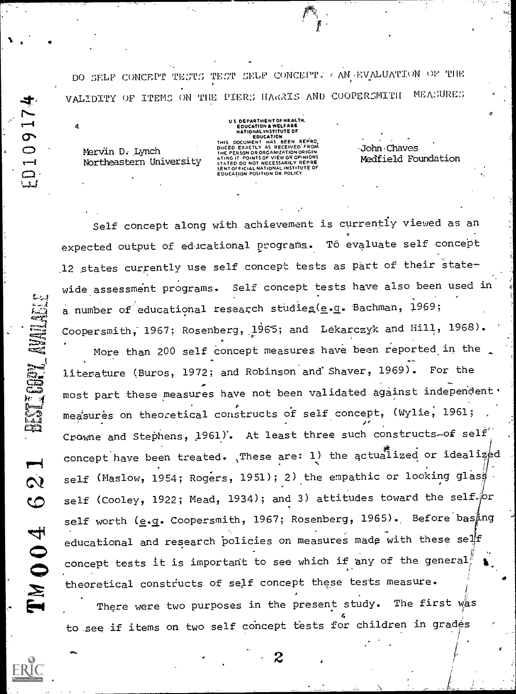DO SELF CONCEPT TESTS TEST SELF CONCEPT. AN EVALUATION OF THE VALIDITY OF ITEMS ON THE PIERS HARRIS AND COOPERSMITH MEASURES

US DEPARTMENT OF HEALTH.

Mervin D. Lynch Northeastern University

EDUCATION & WELFARE NATIONAL INSTITUTE OF<br>DOCUMENT HAS BEEN REPRO<br>DOCUMENT HAS BEEN REPRO OUCED EXACTLY AS MECENNICATION<br>INE PERSON OR ORGANIZATION ORIGIN<br>STATED DO NOT NECESSARILY REPRE **ENT OFFICIAL NATIONAL INSTITUTE OF EDUCATION POSITION OR POLICY** 

John Chaves Medfield Foundation

Self concept along with achievement is currently viewed as an expected output of educational programs. To evaluate self concept 12 states currently use self concept tests as part of their state-Self concept tests have also been used in wide assessment programs. a number of educational research studies (e.g. Bachman, 1969; Coopersmith, 1967; Rosenberg, 1965; and Lekarczyk and Hill, 1968).

More than 200 self concept measures have been reported in the literature (Buros, 1972; and Robinson and Shaver, 1969). For the most part these measures have not been validated against independent . measures on theoretical constructs of self concept, (Wylie, 1961; Crowne and Stephens, 1961). At least three such constructs-of self concept have been treated. These are: 1) the actualized or idealized self (Maslow, 1954; Rogers, 1951); 2) the empathic or looking glass. self (Cooley, 1922; Mead, 1934); and 3) attitudes toward the self. or self worth (e.g. Coopersmith, 1967; Rosenberg, 1965). Before basing educational and research policies on measures made with these self concept tests it is important to see which if any of the general theoretical constructs of self concept these tests measure.

There were two purposes in the present study. The first was to see if items on two self concept tests for children in grades

10917

 $\boldsymbol{d}$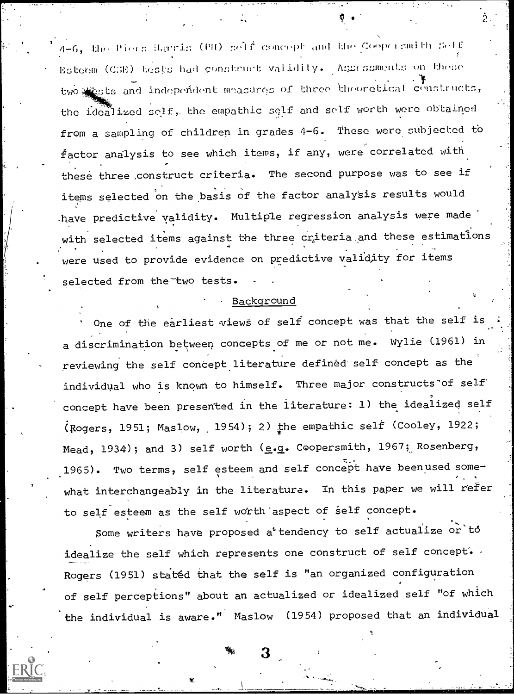4-6, the Piers Harris (PH) self concept and the Coopersmith Self Esteem (C:)E) tests had construct validity. Assessments on these two sests and independent measures of three theoretical constructs, the idealized solf, the empathic self and self worth were obtained from a sampling of children in grades 4-6. These were subjected to  $f$ actor analysis to see which items, if any, were correlated with these three construct criteria. The second purpose was to see if items selected on the basis of the factor analysis results would have predictive yalidity. Multiple regression analysis were made with selected items against the three criteria and these estimations were used to provide evidence on predictive validity for items selected from the two tests.

#### Background

One of the earliest views of self concept was that the self is a discrimination between concepts of me or not me. Wylie C1961) in reviewing the self concept literature defined self concept as the individual who is known to himself. Three major constructs of self concept have been presented in the literature: 1) the idealized self (Rogers, 1951; Maslow, 1954); 2) the empathic self (Cooley, 1922; Mead, 1934); and 3) self worth (e.g. Coopersmith, 1967; Rosenberg, 1965). Two terms, self esteem and self concept have beenused some- , what interchangeably in the literature. In this paper we will refer to self esteem as the self worth aspect of self concept.

Some writers have proposed a'tendency to self actualize or to idealize the self which represents one construct of self concept.  $\cdot$ Rogers (1951) stat6d that the self is "an organized configuration of self perceptions" about an actualized or idealized self "of which the individual is aware." Maslow (1954) proposed that an individual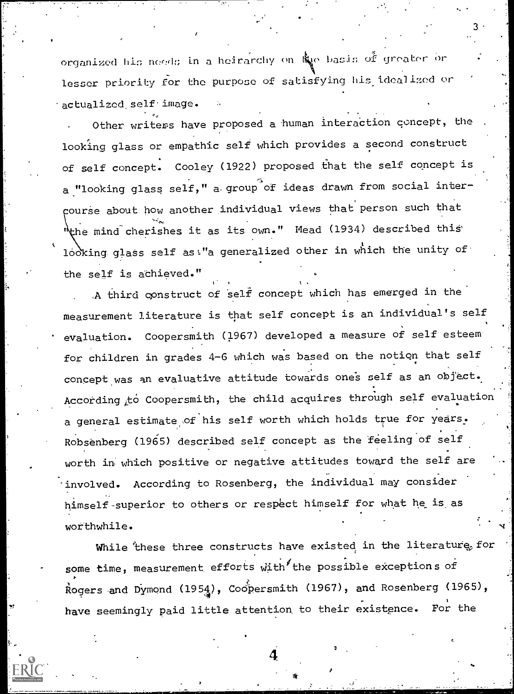organized his noods in a heirarchy on  $\mathbb{R}^n_\mathbf{q}$ e basis of greater or  $\qquad$  . lesser priority for the purpose of satisfying his idealized or actualized self image.

 $3$   $\frac{1}{2}$ 

Other writers have proposed a human interaction concept, the  $\blacksquare$ looking glass or empathic self which provides a second construct of self concept. Cooley (1922) proposed that the self concept is a "looking glass self," a group of ideas drawn from social intercourse about how another individual views that person such that the mind cherishes it as its own." Mead (1934) described this looking glass self as!"a generalized other in which the unity of the self is achieved."

 $\frac{1}{2}$ 

A third construct of self concept which has emerged in the measurement literature is that self concept is an individual's self evaluation. Coopersmith (1967) developed a measure of self esteem' for children in grades 4-6 which was based on the notion that self concept was an evaluative attitude towards ones self as an object. According to Coopersmith, the child acquires through self evaluation a general estimate of his self worth which holds true for years. Robsenberg (1965) described self concept as the feeling of self worth in which positive or negative attitudes toward the self are involved. According to Rosenberg, the individual may consider himself-superior to others or respect himself for what he is. as worthwhile.

While these three constructs have existed in the literature, for some time, measurement efforts with the possible exceptions of Rogers and Dymond (1954), Coopersmith (1967), and Rosenberg (1965), have seemingly paid little attention to their existence. For the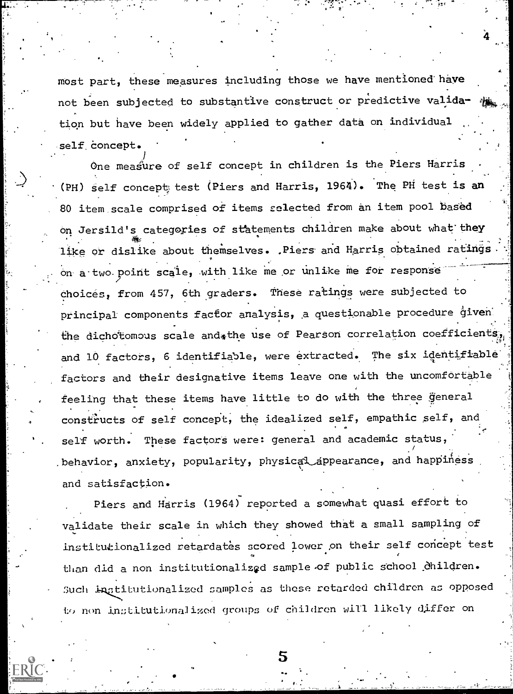most part, these measures including those we have mentioned have not been subjected to substantive construct or predictive validation but have been widely applied to gather data on individual self concept.

One measure of self concept in children is the Piers Harris (PH) self concept; test (Piers and Harris, 1964). The PH test is an 80 item scale comprised of items selected from an item pool based on Jersild's categories of statements children make about what they 4k . like or dislike about themselves. .Piers and Harris obtained ratings.  $\frac{1}{2}$ on a-two.point scale, with like me or unlike me for response choices, from 457, 6th graders. These ratings were subjected to principal components factor analysis, a questionable procedure given the dichotomous scale and the use of Pearson correlation coefficients, and 10 factors, 6 identifiable, were extracted. The six identifiable factors and their designative items leave one with the uncomfortable feeling that these items have little to do with the three general constructs of self concept, the idealized self, empathic self, and self worth. These factors were: general and academic status, behavior, anxiety, popularity, physical appearance, and happiness and satisfaction.

Piers and Harris (1964) reported a somewhat quasi effort to validate their scale in which they showed that a small sampling of institutionalized retardates scored lower on their self concept test than did a non institutionalized sample of public school children. Such Ingtitutionalized samples as these retarded children as opposed to non institutionalized groups of children will likely differ on

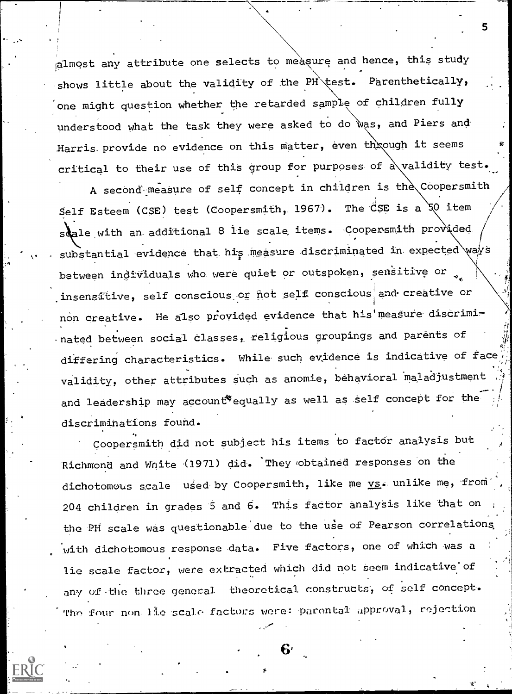almost any attribute one selects to measure and hence, this study shows little about the validity of the PH\test. Parenthetically, one might question whether the retarded sample of children fully understood what the task they were asked to do was, and Piers and Harris. provide no evidence on this matter, even through it seems critical to their use of this group for purposes of a validity test.

A second measure of self concept in children is the Coopersmith Self Esteem (CSE) test (Coopersmith, 1967). The CSE is a 50 item s ale with an additional 8 lie scale items. Coopersmith provided substantial evidence that his measure discriminated in expected ways between individuals who were quiet or outspoken, sensitive or insensitive, self conscious or not self conscious and creative or non creative. He also provided evidence that his' measure discriminated between social Classes, religious groupings and parents of differing characteristics. While such evidence is indicative of face validity, other attributes such as anomie, behavioral maladjustment and leadership may account\*equally as well as self concept for the discriminations found.

Coopersmith did not subject his items to factor analysis but Richmond and Wnite (1971) did. 'They fobtained responses on the dichotomous scale used by Coopersmith, like me vs. unlike me, from 204 children in grades 5 and 6. This factor analysis like that on the PH scale was questionable due to the use of Pearson correlations with dichotomous response data. Five factors, one of which was a lie scale factor, were extracted which did not seem indicative of any of the three general theoretical constructs, of self concept. The four non lie scale factors were: parental approval, rejection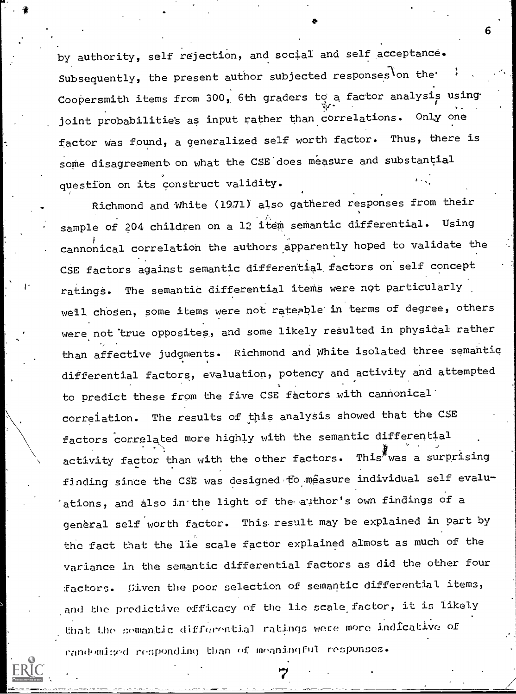by authority, self rejection, and social and self acceptance. Subsequently, the present author subjected responses on the Coopersmith items from 300, 6th graders to a factor analysis using. joint probabilities as input rather than correlations. Only one factor was found, a generalized self worth factor. Thus, there is some disagreement on what the CSE does measure and substantial question on its construct validity.

41.

N,

Richmond and White (1931) also gathered responses from their sample of 204 children on a 12 item semantic differential. Using cannonical correlation the authors apparently hoped to validate the CSE factors against semantic differential factors on self concept ratings. The semantic differential items were not particularly well chosen, some items were not rateable in terms of degree, others were not 'true opposites, and some likely resulted in physical rather than affective judgments. Richmond and White isolated three semantic differential factors, evaluation, potency and activity and attempted to predict these from the five CSE factors with cannonical correlation. The results of this analysis showed that the CSE factors correlated more highly with the semantic differential activity factor than with the other factors. This was a surprising finding since the CSE was designed to measure individual self evaluations, and also in the light of the author's own findings of a general self worth factor. This result may be explained in part by the fact that the lie scale factor explained almost as much of the variance in the semantic differential factors as did the other four factors. Given the poor selection of semantic differential items, randomied responding than of meaningful responses. that the semantic differential ratings were more indicative of and the predictive efficacy of the lie scale factor, it is likely

7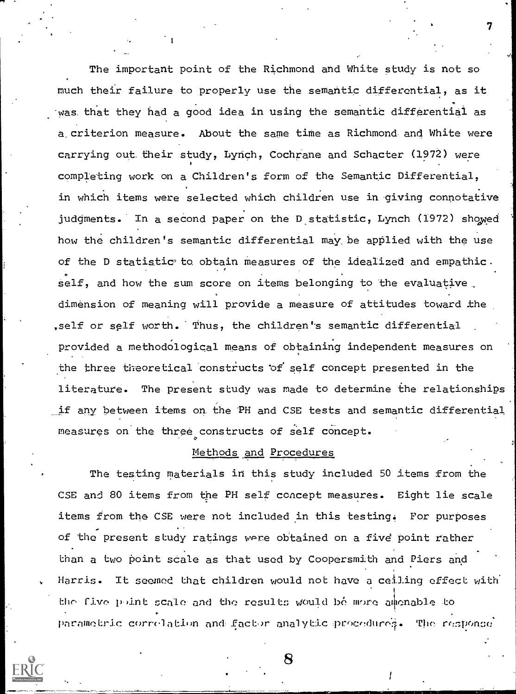The important point of the Richmond and White study is not so much their failure to properly use the semantic differential, as it was that they had a good idea in using the semantic differential as a. criterion measure. About the same time as Richmond, and White were carrying out their study, Lynch, Cochrane and Schacter (1972) were completing work on a Children's form of the Semantic Differential, in which items were selected which children use in giving connotative judgments. In a second paper on the D statistic, Lynch (1972) showed how the children's semantic differential may be applied with the use of the D statistic to obtain measures of the idealized and empathic. self, and how the sum score on items belonging to the evaluative. dimension of meaning will provide a measure of attitudes toward the ,self or self worth. Thus, the children's semantic differential provided a methodological means of obtaining independent measures on the three theoretical constructs of self concept presented in the literature. The present study was made to determine the relationships if any between items on the PH and CSE tests and semantic differential measures on the three constructs of self concept.

7

## Methods and Procedures

The testing materials in this study included 50 items from the CSE and 80 items from the PH self concept measures. Eight lie scale items from. the CSE were not included in this besting. For purposes of the present study ratings were obtained on a five" point rather than a two point scale as that used by Coopersmith and Piers and Harris. It seemed that children would not have a ceiling effect with the five point scale and the results would bé more amenable to. parametric correlation and factor analytic procedure;. The response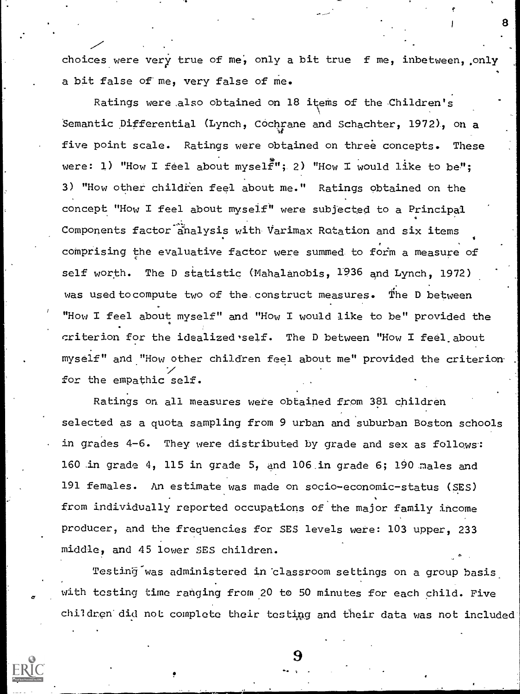choices were very true of me, only a bit true f me, inbetween, only a bit false of me, very false of me.

Ratings were also obtained on 18 items of the Children's Semantic Differential (Lynch, Cochrane and Schachter, 1972), on a five point scale. Ratings were obtained on three concepts. These were: 1) "How I feel about myself"; 2) "How I would like to be"; 3) "How other childien feel about me." Ratings obtained on the concept "How I feel about myself" were subjected to a Principal Components factor analysis with Varimax Rotation and six items comprising the evaluative factor were summed to form a measure of self worth. The D statistic (Mahalanobis, 1936 and Lynch, 1972) was used to compute two of the construct measures. The D between "How I feel about myself" and "How I would like to be" provided the criterion for the idealized self. The D between "How I feel, about myself" and "How other children feel about me" provided the criterion. for the empathic self.

Ratings on all measures were obtained from 381 children selected as a quota sampling from 9 urban and suburban Boston schools in grades 4-6. They were distributed by grade and sex as follows: 160 in grade 4, 115 in grade 5, and 106 ,in grade 6; 190 males and 191 females. An estimate was made on socio-economic-status (SES) from individually reported occupations of the major family income producer, and the frequencies for SES levels were: 103 upper, 233 middle, and 45 lower SES children.

Testin§-was administered in 'classroom settings on a group basis, with testing time ranging from 20 to 50 minutes for each child. Five children did not complete their testing and their data was not included

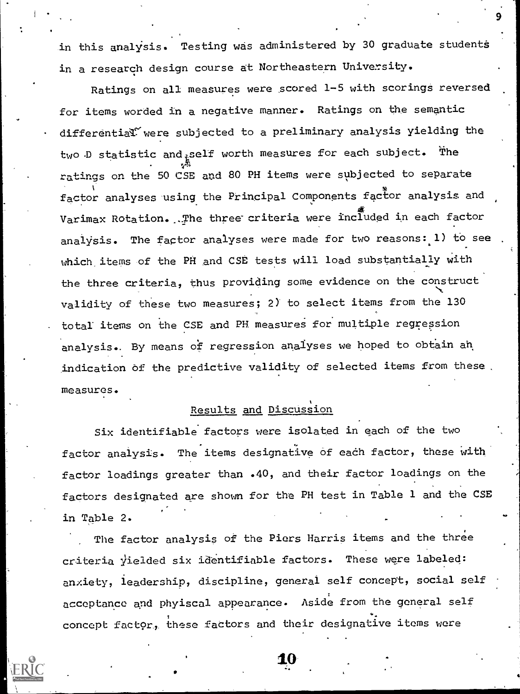in this analysis. Testing was administered by 30 graduate students in a research design course at Northeastern University.

Ratings on all measures were scored 1-5 with scorings reversed for items worded in a negative manner. Ratings on the semantic differential' were subjected to a preliminary analysis yielding the two  $D$  statistic and self worth measures for each subject. The ratings on the 50 CSE and 80 PH items were subjected to separate factor analyses using the Principal Components factor analysis and Varimax Rotation. .The three criteria were included in each factor analysis. The factor analyses were made for two reasons: 1) to see which items of the PH and CSE tests will load substantially with the three criteria, thus providing some evidence on the construct validity of these two measures; 2) to select items from the 130 total items on the CSE and PH measures for multiple regression analysis. By means of regression analyses we hoped to obtain an indication of the predictive validity of selected items from these. measures.

# Results and Discussion

Six identifiable factors were isolated in each of the two factor analysis. The items designative of each factor, these with factor loadings greater than .40, and their factor loadings on the factors designated are shown for the PH test in Table 1 and the CSE in Table 2.

The factor analysis of the Piers Harris items and the three criteria yielded six identifiable factors. These were labeled: anxiety, leadership, discipline, general self concept, social self acceptance and phyiscal appearance. Aside from the general self concept factor, these factors and their designative items were



1.0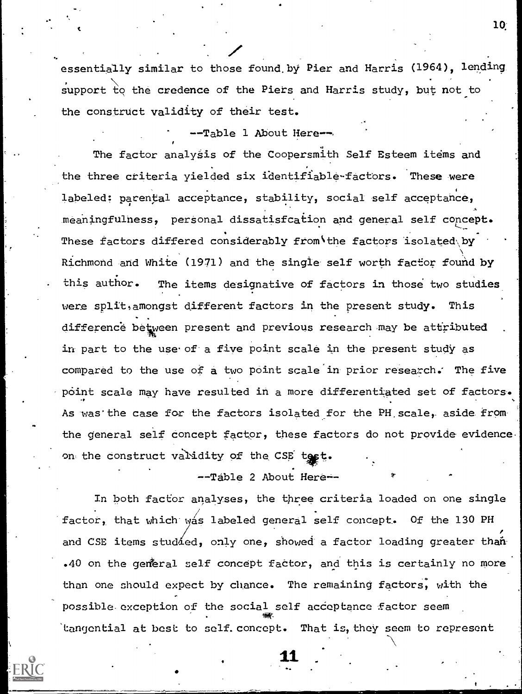essentially similar to those found,by Pier and Harris (1964), lending support to the credence of the Piers and Harris study, but not to the construct validity of their test.

--Table 1 About Here--

The factor analysis of the Coopersmith Self Esteem items and the three criteria yielded six identifiable-factors. These were labeled: parental acceptance, stability, social self acceptance, meaningfulness, personal dissatisfcation and general self concept. These factors differed considerably from the factors isolated by Richmond and White (1971) and the single self worth factior found by this author. The items designative of factors in those two studies were split, amongst different factors in the present study. This difference between present and previous research may be attributed in part to the use of a five point scale in the present study as compared to the use of a two point scale'in prior research.' The five point scale may have resulted in a more differentiated set of factors. As was the case for the factors isolated for the PH scale, aside from the general self concept factor, these factors do not provide evidence. on the construct validity of the CSE test.

--Table 2 About Here--

In both factor analyses, the three criteria loaded on one single factor, that which was labeled general self concept. Of the 130 PH and CSE items studied, only one, showed a factor loading greater than .40 on the general self concept factor, and this is certainly no more than one should expect by chance. The remaining factors, with the possible exception of the social self acceptance factor seem total and the second control of the second control of the second control of the second control of the second control of the second control of the second control of the second control of the second control of the second con 'tangential at best to self. concept. That is, they seem to represent

11

t the contract of  $\mathbf{10}$ ;  $\mathbf{10}$ ;  $\mathbf{10}$ ;  $\mathbf{11}$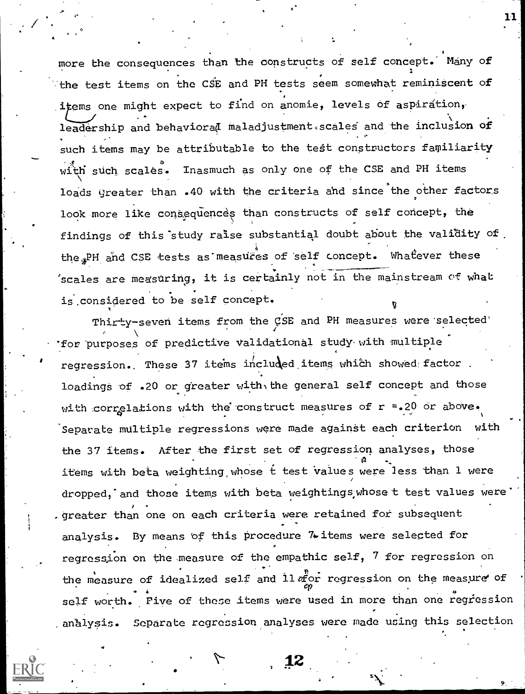more the consequences than the constructs of self concept. Many of the test items on the CSE and PH tests seem somewhat reminiscent of items one might expect to find on anomie, levels of aspiration, leadership and behaviorad maladjustment.scales and the inclusion of such items may be attributable to the test-constructors familiarity with such scales. Inasmuch as only one of the CSE and PH items loads greater than .40 with the criteria and since the other factors look more like consequences than constructs of self concept, the findings of this'study raise substantial doubt about the validity of the PH and CSE tests as measures of self concept. Whatever these 'scales are measuring, it is certainly not in the mainstream of what is.considered to be self concept.

 $11$ 

Thirty-seven items from the CSE and PH measures were selected' for 'purposes of predictive Validational study with multiple regression. These 37 items included items which showed factor. loadings of .20 or greater with, the general self concept and those with correlations with the construct measures of  $r = .20$  or above. Separate multiple regressions were made against each criterion with the 37 items. After the first set of regression analyses, those a items with beta weighting whose t test Values were less than 1 were dropped, and those items with beta weightings, whose t test values were . greater than one on each criteria were retained for subsequent analysis. By means 'of this procedure 74-items were selected for regression on the measure of the empathic self, 7 for regression on . . the measure of idealized self and  $11$   $a<sub>1</sub><sup>2</sup>$  or regression on the measure of  $\frac{1}{4}$ . self worth. Five of these items were used in more than one regiession analysis. Separate regression analyses were made using this selection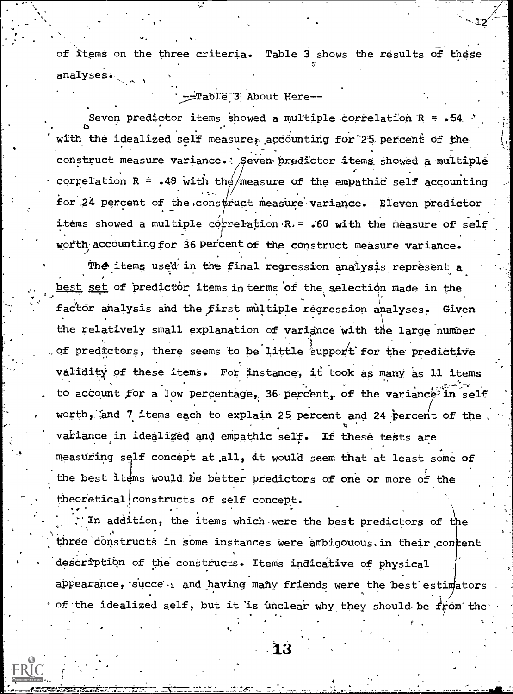of items on the three criteria. Table 3 shows the results of these analyses.

-Table 3 About Here--

Seven predictor items showed a multiple correlation  $R = -54$ with the idealized self measure, accounting for 25 percent of the construct measure variance. Seven predictor items showed a multiple correlation  $R = .49$  with the measure of the empathic self accounting for 24 percent of the construct measure variance. Eleven predictor items showed a multiple correlation R. = . 60 with the measure of self worth accounting for 36 percent of the construct measure variance.

The items used in the final regression analysis represent a best set of predictor items in terms of the selection made in the factor analysis and the first multiple regression analyses. Given the relatively small explanation of variance with the large number of predictors, there seems to be little support for the predictive validity of these items. For instance, it took as many as 11 items to account for a low percentage, 36 percent, of the variance in self worth, and 7 items each to explain 25 percent and 24 percent of the variance in idealized and empathic self. If these tests are measuring self concept at all, it would seem that at least some of the best items would be better predictors of one or more of the theoretical constructs of self concept.

In addition, the items which were the best predictors of the three constructs in some instances were ambigouous in their content description of the constructs. Items indicative of physical appearance, succe and having many friends were the best estimators  $\cdot$  of the idealized self, but it is unclear why they should be from the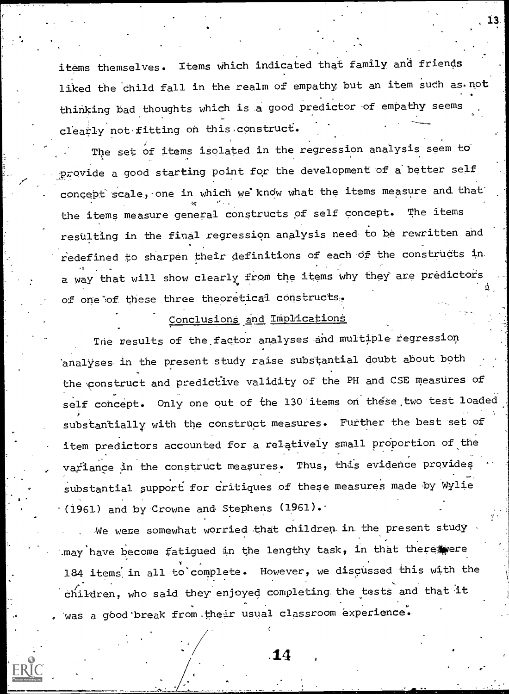items themselves. Items which indicated that family and friends liked the child fall in the realm of empathy, but an item such as not thinking bad thoughts which is a good predictor of empathy seems clearly not fitting on this construct.

The set of items isolated in the regression analysis seem to the contract of the provide a good starting point for the development of a better self  $\qquad$ concept scale, one in which we know what the items measure and that the items measure general constructs of self concept. The items resulting in the final regression analysis need to be rewritten and redefined to sharpen their definitions of each Of the constructs in a way that will show clearly from the items why they are predictors of one of these three theoretical constructs.

# Conclusions and Implications

The results of the factor analyses and multiple regression analyses in the present study raise substantial doubt about both the construct and predictive validity of the PH and CSE measures of self concept. Only one out of the 130 items on these two test loaded substantially with the construct measures. Further the best set of item predictors accounted for a relatively small proportion of the variance in the construct measures. Thus, this evidence provides substantial support for critiques of these measures made by Wylie  $(1961)$  and by Crowne and Stephens (1961).

We were somewhat worried that children in the present study  $\Box$ may have become fatigued in the lengthy task, in that there were 184 items: in all to'complete. However, we discussed this with the . children, who said they enjoyed completing the tests and that it was a good break from their usual classroom experience.

,14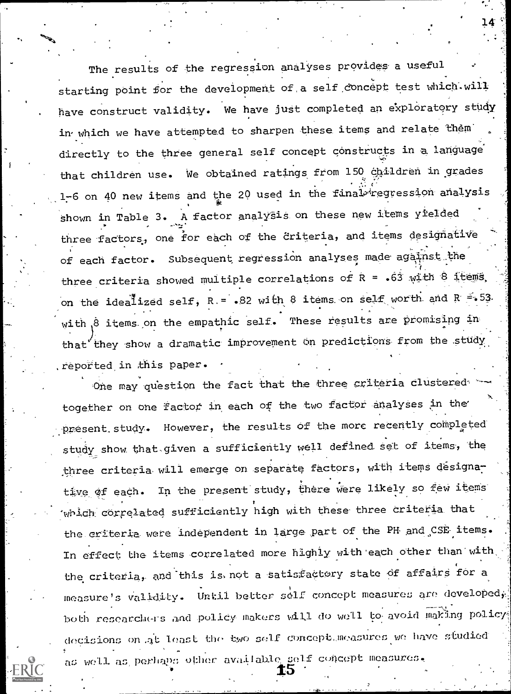The results of the regression analyses provides' a useful starting point for the development of a self concept test which.will have construct validity. We have just completed an exploratory study in which we have attempted to sharpen these items and relate them directly to the three general self concept constructs in a language that children use. We obtained ratings from 150 children in grades 1-6 on 40 new items and the 20 used in the final-regression analysis shown in Table 3. A factor analysis on these new items yielded three factors, one for each of the criteria, and items designative of each factor. Subsequent regression analyses made against the the set three criteria showed multiple correlations of  $R = .63$  with 8 items, on the idealized self, R.= .82 with 8 items on self worth and R  $\le$  53. with 8 items on the empathic self. These results are promising in )<br>they show a dramatic imp that they show a dramatic improvement on predictions from the study  $\begin{bmatrix} \cdot & \cdot & \cdot \end{bmatrix}$ ,reported in this paper.

One may question the fact that the three criteria clustered together on one factor in each of the two factor analyses An the' present study. However, the results of the more recently completed study show that-given a sufficiently well defined set of items, the three criteria will emerge on separate factors, with items designative of each. In the present study, there were likely so few items which correlated sufficiently high with these three criteria that the criteria were independent in large part of the PH and CSE items. In effect the items correlated more highly with each other than with, the criteria, and this is not a satisfactory state of affairs for a measure's validity. Until better self concept measures are developed; both rosearche-rs and polidy makers will do moll to- avoid making policy; docisions on .at least tho two self concept,moasuros mo have studied as well as perhaps other available self concept measures,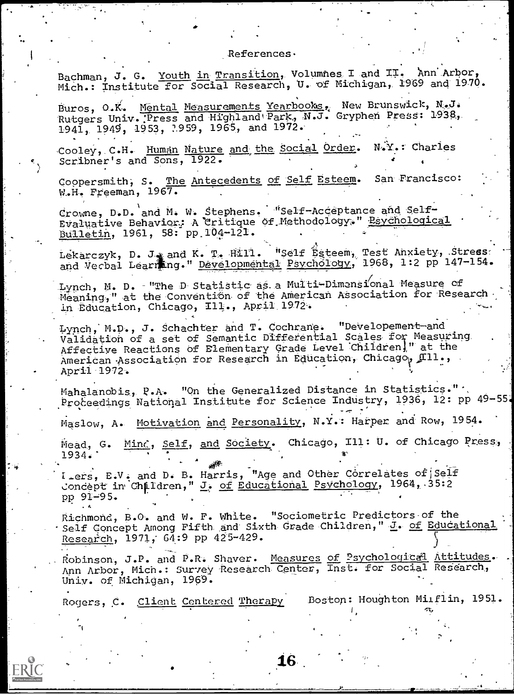## References.

Bachman, J. G. Youth in Transition, Volumnes I and II. Ann Arbor, Mich.: Institute for Social Research, U. of Michigan, 1969 and 1970.

Buros, O.K. Mental Measurements Yearbooks, New Brunswick, N.J.<br>Rutgers Univ. Press and Highland Park, N.J. Gryphen Press: 1938, 1941, 1949, 1953, 7959, 1965, and 1972.

Cooley, C.H. Human Nature and the Social Order.  $N_{\bullet}Y_{\bullet}$ : Charles Scribner's and Sons, 1922.

Coopersmith, S. The Antecedents of Self Esteem. San Francisco: W.H. Freeman, 1967.

Crowne, D.D. and M. W. Stephens. "Self-Acceptance and Self-<br>Evaluative Behavior: A Critique of Methodology." Esychological Bulletin, 1961, 58: pp 104-121.

Lekarczyk, D. J. and K. T. Hill. "Self Ésteem, Test Anxiety, Stress.<br>and Verbal Learning." Developmental Psychology, 1968, 1:2 pp 147-154.

Lynch, M. D. - "The D Statistic as a Multi-Dimensional Measure of Meaning," at the Convention of the American Association for Research in Education, Chicago, Ill., April 1972.

Lynch, M.D., J. Schachter and T. Cochrane. "Developement-and Validation of a set of Semantic Differential Scales for Measuring Affective Reactions of Elementary Grade Level Children," at the American Association for Research in Education, Chicago, Ill., April 1972.

Mahalanobis, P.A. "On the Generalized Distance in Statistics." Proceedings National Institute for Science Industry, 1936, 12: pp 49-55.

Maslow, A. Motivation and Personality, N.Y.: Harper and Row, 1954.

Mead, G. Mind, Self, and Society. Chicago, Ill: U. of Chicago Press,  $1934.$ 

I ers, E.V. and D. B. Harris, "Age and Other Correlates of Self Concept in Children," J. of Educational Psychology, 1964, 35:2 pp 91-95.

Richmond, B.O. and W. F. White. "Sociometric Predictors of the Self Concept Among Fifth and Sixth Grade Children," J. of Educational Research, 1971, 64:9 pp 425-429.

Robinson, J.P. and P.R. Shaver. Measures of Psychological Attitudes.<br>Ann Arbor, Mich.: Survey Research Center, Inst. for Social Research, Univ. of Michigan, 1969.

16

Rogers, C. Client Centered Therapy

Boston: Houghton Milflin, 1951.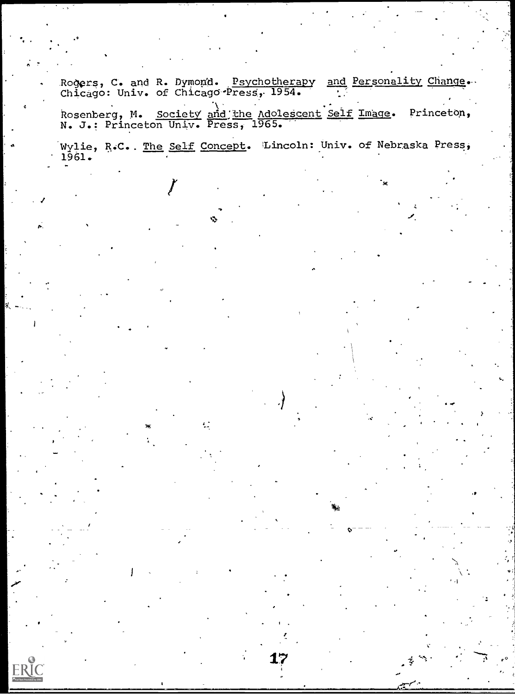Rogers, C. and R. Dymond. <u>Psychotherapy and Personality Change</u>. Chicago: Univ. of Chicago-Press, 1954. . . .

Rosenberg, M. Society and the Adolescent Self Image. Princeton, N. J.: Princeton Univ. Press, 1965.

Wylie, R.C.. The Self Concept. Lincoln: Univ. of Nebraska Press, 1961.

 $\mathcal{L}$ 

ERIC

17

O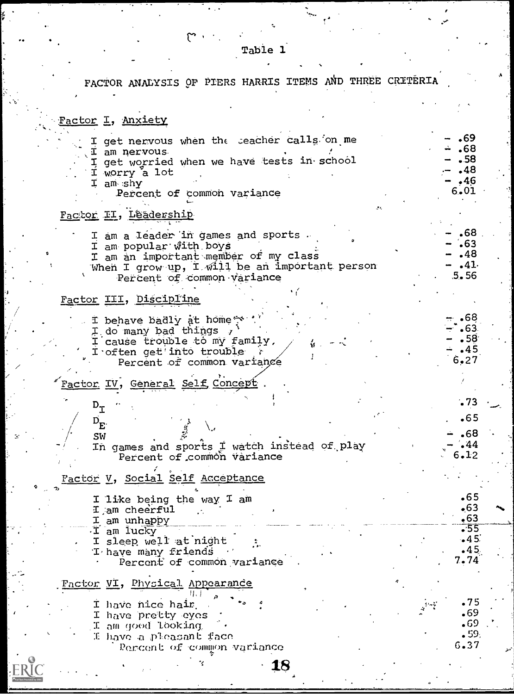Table 1

 $\mathfrak{S}$ 

# FACTOR ANALYSIS OF PIERS HARRIS ITEMS AND THREE CRITERIA

| <u> Factor</u> I, <u>Anxiety</u>                                                                                                                                                    |                                                   |
|-------------------------------------------------------------------------------------------------------------------------------------------------------------------------------------|---------------------------------------------------|
| I get nervous when the seacher calls on me<br>I am nervous<br>I get worried when we have tests in school<br>I worry a lot<br>I am shy<br>Percent of common variance                 | .69<br>.68<br>.58<br>.48<br>•46<br>6.01           |
| Factor II, Lêadership                                                                                                                                                               |                                                   |
| I am a leader in games and sports.<br>I am popular with boys<br>I am an important member of my class<br>When I grow up, I will be an important person<br>Percent of common variance | .68<br>$\cdot 63$<br>.48<br>$-41.$<br>5.56        |
| Factor III, Discipline                                                                                                                                                              |                                                   |
| I behave badly at home<br>I do many bad things $\lambda$<br>I cause trouble to my family,<br>I often get'into trouble<br>Percent of common variance                                 | 68ء<br>.63<br>•58<br>.45<br>6.27                  |
| <u> Factor IV, General Self Concept</u>                                                                                                                                             |                                                   |
| $\mathtt{D}_{\mathtt{T}}$                                                                                                                                                           | .73                                               |
| $D_{E}$                                                                                                                                                                             | •65                                               |
| SW<br>In games and sports I watch instead of play<br>Percent of common variance                                                                                                     | .68<br>.44<br>6.12                                |
| Factor V, Social Self Acceptance                                                                                                                                                    |                                                   |
| I like being the way I am<br>I am cheerful<br>I am unhappy                                                                                                                          | $\bullet$ 65<br>•63<br>,63                        |
| I am lucky<br>I sleep well at night<br>T have many friends<br>Percent of common variance                                                                                            | $\overline{\cdot 55}$<br>•45<br>$-45$<br>7.74     |
| Factor VI, Physical Appearance                                                                                                                                                      |                                                   |
| I have nice hair.<br>I have pretty eyes<br>I am goed looking<br>I have a pleasant face<br>Percent of common variance                                                                | .75<br>69ء<br>$\centerdot$ 69<br>. 59<br>$6 - 37$ |
| 4 Q                                                                                                                                                                                 |                                                   |

 $\cdot$  18

.ERIC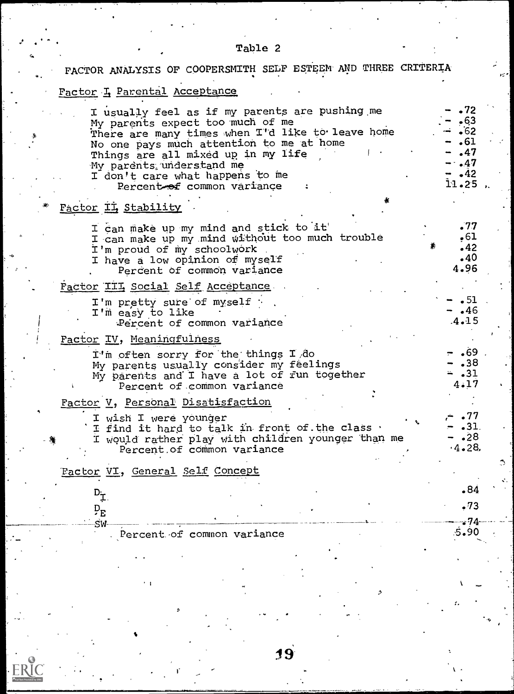| Table 2                                                                                                                                                                                                                                                                                                               |                                                                             |                    |
|-----------------------------------------------------------------------------------------------------------------------------------------------------------------------------------------------------------------------------------------------------------------------------------------------------------------------|-----------------------------------------------------------------------------|--------------------|
| FACTOR ANALYSIS OF COOPERSMITH SELF ESTEEM AND THREE CRITERIA                                                                                                                                                                                                                                                         |                                                                             |                    |
| Factor I Parental Acceptance                                                                                                                                                                                                                                                                                          |                                                                             |                    |
| I usually feel as if my parents are pushing me<br>My parents expect too much of me<br>There are many times when I'd like to leave home<br>No one pays much attention to me at home<br>Things are all mixed up in my life<br>My parents understand me<br>I don't care what happens to me<br>Percent of common variance | $\cdot 72$<br>•63<br>- ∙62<br>.61<br>.47<br>$-47$<br>$-42$<br>$11.25$ $\mu$ |                    |
| Factor II, Stability                                                                                                                                                                                                                                                                                                  |                                                                             |                    |
| I can make up my mind and stick to it<br>I can make up my mind without too much trouble<br>I'm proud of my schoolwork<br>I have a low opinion of myself<br>Percent of common variance                                                                                                                                 | .77<br>•61<br>.42<br>.40<br>4.96                                            |                    |
| Factor III Social Self Acceptance                                                                                                                                                                                                                                                                                     |                                                                             |                    |
| I'm pretty sure of myself :<br>I'm easy to like<br>Percent of common variance                                                                                                                                                                                                                                         | $\cdot$ 51<br>$\cdot$ 46<br>$.4 - 15$                                       |                    |
| Factor IV, Meaningfulness                                                                                                                                                                                                                                                                                             |                                                                             |                    |
| I'm often sorry for the things I do<br>My parents usually consider my feelings<br>My parents and I have a lot of fun together<br>Percent of common variance                                                                                                                                                           | $-$ .69<br>.38<br>$= .31$<br>4.17                                           |                    |
| Factor V, Personal Disatisfaction                                                                                                                                                                                                                                                                                     |                                                                             |                    |
| I wish I were younger<br>I find it hard to talk in front of the class .<br>I would rather play with children younger than me<br>Percent of common variance                                                                                                                                                            | .77<br>$-31.$<br>•28<br>4.28                                                |                    |
| Eactor VI, General Self Concept                                                                                                                                                                                                                                                                                       |                                                                             | $\mathbb{C}$<br>÷. |
| $D_{\mathcal{I}}$                                                                                                                                                                                                                                                                                                     | •84                                                                         |                    |
| $P_{E}$                                                                                                                                                                                                                                                                                                               | .73                                                                         |                    |
| SW<br>Percent of common variance                                                                                                                                                                                                                                                                                      | 74ء<br>90ء5                                                                 |                    |
|                                                                                                                                                                                                                                                                                                                       |                                                                             |                    |
|                                                                                                                                                                                                                                                                                                                       |                                                                             |                    |

19

 $E$